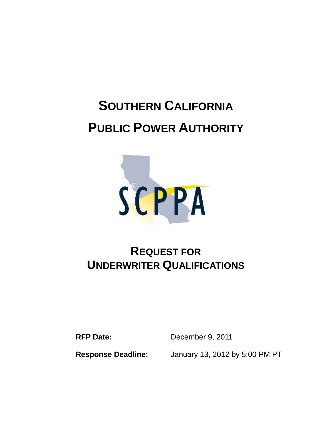# **SOUTHERN CALIFORNIA PUBLIC POWER AUTHORITY**



# **REQUEST FOR UNDERWRITER QUALIFICATIONS**

**RFP Date:** December 9, 2011

 **Response Deadline:** January 13, 2012 by 5:00 PM PT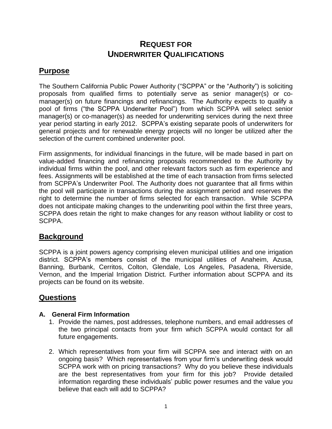# **REQUEST FOR UNDERWRITER QUALIFICATIONS**

# **Purpose**

The Southern California Public Power Authority ("SCPPA" or the "Authority") is soliciting proposals from qualified firms to potentially serve as senior manager(s) or comanager(s) on future financings and refinancings. The Authority expects to qualify a pool of firms ("the SCPPA Underwriter Pool") from which SCPPA will select senior manager(s) or co-manager(s) as needed for underwriting services during the next three year period starting in early 2012. SCPPA's existing separate pools of underwriters for general projects and for renewable energy projects will no longer be utilized after the selection of the current combined underwriter pool.

Firm assignments, for individual financings in the future, will be made based in part on value-added financing and refinancing proposals recommended to the Authority by individual firms within the pool, and other relevant factors such as firm experience and fees. Assignments will be established at the time of each transaction from firms selected from SCPPA's Underwriter Pool. The Authority does not guarantee that all firms within the pool will participate in transactions during the assignment period and reserves the right to determine the number of firms selected for each transaction. While SCPPA does not anticipate making changes to the underwriting pool within the first three years, SCPPA does retain the right to make changes for any reason without liability or cost to SCPPA.

# **Background**

SCPPA is a joint powers agency comprising eleven municipal utilities and one irrigation district. SCPPA's members consist of the municipal utilities of Anaheim, Azusa, Banning, Burbank, Cerritos, Colton, Glendale, Los Angeles, Pasadena, Riverside, Vernon, and the Imperial Irrigation District. Further information about SCPPA and its projects can be found on its website.

# **Questions**

#### **A. General Firm Information**

- 1. Provide the names, post addresses, telephone numbers, and email addresses of the two principal contacts from your firm which SCPPA would contact for all future engagements.
- 2. Which representatives from your firm will SCPPA see and interact with on an ongoing basis? Which representatives from your firm's underwriting desk would SCPPA work with on pricing transactions? Why do you believe these individuals are the best representatives from your firm for this job? Provide detailed information regarding these individuals' public power resumes and the value you believe that each will add to SCPPA?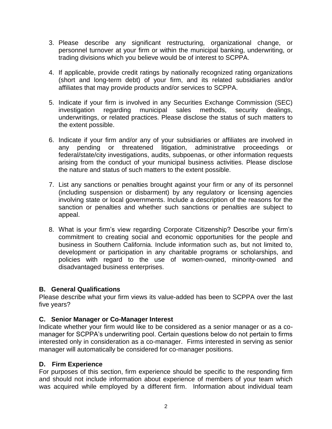- 3. Please describe any significant restructuring, organizational change, or personnel turnover at your firm or within the municipal banking, underwriting, or trading divisions which you believe would be of interest to SCPPA.
- 4. If applicable, provide credit ratings by nationally recognized rating organizations (short and long-term debt) of your firm, and its related subsidiaries and/or affiliates that may provide products and/or services to SCPPA.
- 5. Indicate if your firm is involved in any Securities Exchange Commission (SEC) investigation regarding municipal sales methods, security dealings, underwritings, or related practices. Please disclose the status of such matters to the extent possible.
- 6. Indicate if your firm and/or any of your subsidiaries or affiliates are involved in any pending or threatened litigation, administrative proceedings or federal/state/city investigations, audits, subpoenas, or other information requests arising from the conduct of your municipal business activities. Please disclose the nature and status of such matters to the extent possible.
- 7. List any sanctions or penalties brought against your firm or any of its personnel (including suspension or disbarment) by any regulatory or licensing agencies involving state or local governments. Include a description of the reasons for the sanction or penalties and whether such sanctions or penalties are subject to appeal.
- 8. What is your firm's view regarding Corporate Citizenship? Describe your firm's commitment to creating social and economic opportunities for the people and business in Southern California. Include information such as, but not limited to, development or participation in any charitable programs or scholarships, and policies with regard to the use of women-owned, minority-owned and disadvantaged business enterprises.

#### **B. General Qualifications**

Please describe what your firm views its value-added has been to SCPPA over the last five years?

#### **C. Senior Manager or Co-Manager Interest**

Indicate whether your firm would like to be considered as a senior manager or as a comanager for SCPPA's underwriting pool. Certain questions below do not pertain to firms interested only in consideration as a co-manager. Firms interested in serving as senior manager will automatically be considered for co-manager positions.

#### **D. Firm Experience**

For purposes of this section, firm experience should be specific to the responding firm and should not include information about experience of members of your team which was acquired while employed by a different firm. Information about individual team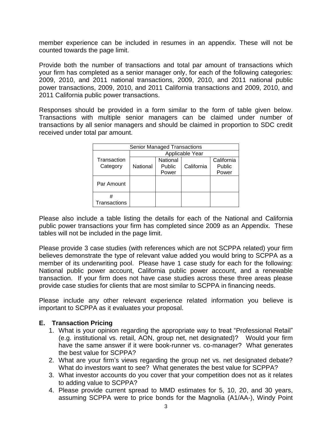member experience can be included in resumes in an appendix. These will not be counted towards the page limit.

Provide both the number of transactions and total par amount of transactions which your firm has completed as a senior manager only, for each of the following categories: 2009, 2010, and 2011 national transactions, 2009, 2010, and 2011 national public power transactions, 2009, 2010, and 2011 California transactions and 2009, 2010, and 2011 California public power transactions.

Responses should be provided in a form similar to the form of table given below. Transactions with multiple senior managers can be claimed under number of transactions by all senior managers and should be claimed in proportion to SDC credit received under total par amount.

| <b>Senior Managed Transactions</b> |                 |          |            |            |
|------------------------------------|-----------------|----------|------------|------------|
|                                    | Applicable Year |          |            |            |
| Transaction                        |                 | National |            | California |
| Category                           | National        | Public   | California | Public     |
|                                    |                 | Power    |            | Power      |
| Par Amount                         |                 |          |            |            |
| #                                  |                 |          |            |            |
| Transactions                       |                 |          |            |            |

Please also include a table listing the details for each of the National and California public power transactions your firm has completed since 2009 as an Appendix. These tables will not be included in the page limit.

Please provide 3 case studies (with references which are not SCPPA related) your firm believes demonstrate the type of relevant value added you would bring to SCPPA as a member of its underwriting pool. Please have 1 case study for each for the following: National public power account, California public power account, and a renewable transaction. If your firm does not have case studies across these three areas please provide case studies for clients that are most similar to SCPPA in financing needs.

Please include any other relevant experience related information you believe is important to SCPPA as it evaluates your proposal.

#### **E. Transaction Pricing**

- 1. What is your opinion regarding the appropriate way to treat "Professional Retail" (e.g. institutional vs. retail, AON, group net, net designated)? Would your firm have the same answer if it were book-runner vs. co-manager? What generates the best value for SCPPA?
- 2. What are your firm's views regarding the group net vs. net designated debate? What do investors want to see? What generates the best value for SCPPA?
- 3. What investor accounts do you cover that your competition does not as it relates to adding value to SCPPA?
- 4. Please provide current spread to MMD estimates for 5, 10, 20, and 30 years, assuming SCPPA were to price bonds for the Magnolia (A1/AA-), Windy Point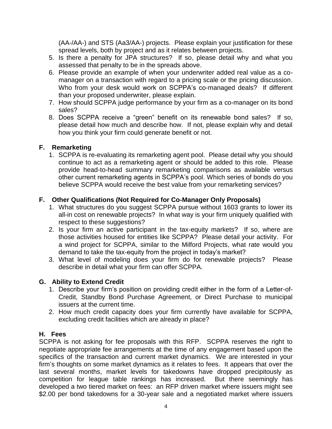(AA-/AA-) and STS (Aa3/AA-) projects. Please explain your justification for these spread levels, both by project and as it relates between projects.

- 5. Is there a penalty for JPA structures? If so, please detail why and what you assessed that penalty to be in the spreads above.
- 6. Please provide an example of when your underwriter added real value as a comanager on a transaction with regard to a pricing scale or the pricing discussion. Who from your desk would work on SCPPA's co-managed deals? If different than your proposed underwriter, please explain.
- 7. How should SCPPA judge performance by your firm as a co-manager on its bond sales?
- 8. Does SCPPA receive a "green" benefit on its renewable bond sales? If so, please detail how much and describe how. If not, please explain why and detail how you think your firm could generate benefit or not.

#### **F. Remarketing**

1. SCPPA is re-evaluating its remarketing agent pool. Please detail why you should continue to act as a remarketing agent or should be added to this role. Please provide head-to-head summary remarketing comparisons as available versus other current remarketing agents in SCPPA's pool. Which series of bonds do you believe SCPPA would receive the best value from your remarketing services?

#### **F. Other Qualifications (Not Required for Co-Manager Only Proposals)**

- 1. What structures do you suggest SCPPA pursue without 1603 grants to lower its all-in cost on renewable projects? In what way is your firm uniquely qualified with respect to these suggestions?
- 2. Is your firm an active participant in the tax-equity markets? If so, where are those activities housed for entities like SCPPA? Please detail your activity. For a wind project for SCPPA, similar to the Milford Projects, what rate would you demand to take the tax-equity from the project in today's market?
- 3. What level of modeling does your firm do for renewable projects? Please describe in detail what your firm can offer SCPPA.

### **G. Ability to Extend Credit**

- 1. Describe your firm's position on providing credit either in the form of a Letter-of-Credit, Standby Bond Purchase Agreement, or Direct Purchase to municipal issuers at the current time.
- 2. How much credit capacity does your firm currently have available for SCPPA, excluding credit facilities which are already in place?

#### **H. Fees**

SCPPA is not asking for fee proposals with this RFP. SCPPA reserves the right to negotiate appropriate fee arrangements at the time of any engagement based upon the specifics of the transaction and current market dynamics. We are interested in your firm's thoughts on some market dynamics as it relates to fees. It appears that over the last several months, market levels for takedowns have dropped precipitously as competition for league table rankings has increased. But there seemingly has developed a two tiered market on fees: an RFP driven market where issuers might see \$2.00 per bond takedowns for a 30-year sale and a negotiated market where issuers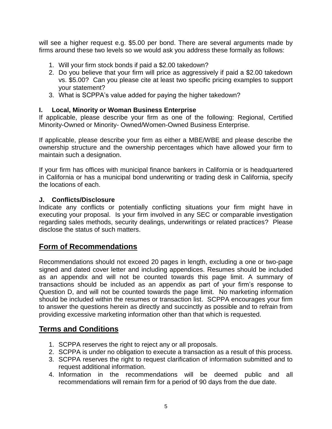will see a higher request e.g. \$5.00 per bond. There are several arguments made by firms around these two levels so we would ask you address these formally as follows:

- 1. Will your firm stock bonds if paid a \$2.00 takedown?
- 2. Do you believe that your firm will price as aggressively if paid a \$2.00 takedown vs. \$5.00? Can you please cite at least two specific pricing examples to support your statement?
- 3. What is SCPPA's value added for paying the higher takedown?

#### **I. Local, Minority or Woman Business Enterprise**

If applicable, please describe your firm as one of the following: Regional, Certified Minority-Owned or Minority- Owned/Women-Owned Business Enterprise.

If applicable, please describe your firm as either a MBE/WBE and please describe the ownership structure and the ownership percentages which have allowed your firm to maintain such a designation.

If your firm has offices with municipal finance bankers in California or is headquartered in California or has a municipal bond underwriting or trading desk in California, specify the locations of each.

#### **J. Conflicts/Disclosure**

Indicate any conflicts or potentially conflicting situations your firm might have in executing your proposal. Is your firm involved in any SEC or comparable investigation regarding sales methods, security dealings, underwritings or related practices? Please disclose the status of such matters.

# **Form of Recommendations**

Recommendations should not exceed 20 pages in length, excluding a one or two-page signed and dated cover letter and including appendices. Resumes should be included as an appendix and will not be counted towards this page limit. A summary of transactions should be included as an appendix as part of your firm's response to Question D, and will not be counted towards the page limit. No marketing information should be included within the resumes or transaction list. SCPPA encourages your firm to answer the questions herein as directly and succinctly as possible and to refrain from providing excessive marketing information other than that which is requested.

# **Terms and Conditions**

- 1. SCPPA reserves the right to reject any or all proposals.
- 2. SCPPA is under no obligation to execute a transaction as a result of this process.
- 3. SCPPA reserves the right to request clarification of information submitted and to request additional information.
- 4. Information in the recommendations will be deemed public and all recommendations will remain firm for a period of 90 days from the due date.